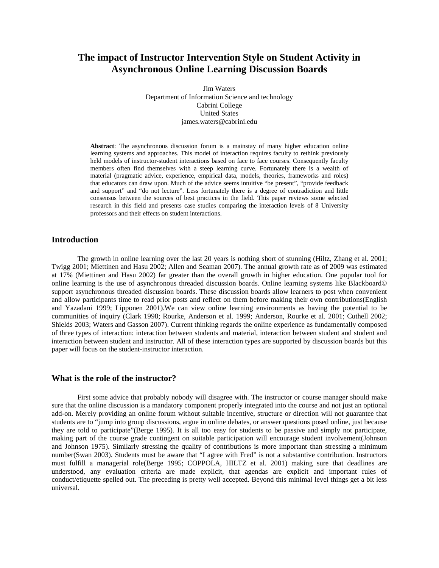# **The impact of Instructor Intervention Style on Student Activity in Asynchronous Online Learning Discussion Boards**

Jim Waters Department of Information Science and technology Cabrini College United States james.waters@cabrini.edu

**Abstract**: The asynchronous discussion forum is a mainstay of many higher education online learning systems and approaches. This model of interaction requires faculty to rethink previously held models of instructor-student interactions based on face to face courses. Consequently faculty members often find themselves with a steep learning curve. Fortunately there is a wealth of material (pragmatic advice, experience, empirical data, models, theories, frameworks and roles) that educators can draw upon. Much of the advice seems intuitive "be present", "provide feedback and support" and "do not lecture". Less fortunately there is a degree of contradiction and little consensus between the sources of best practices in the field. This paper reviews some selected research in this field and presents case studies comparing the interaction levels of 8 University professors and their effects on student interactions.

#### **Introduction**

The growth in online learning over the last 20 years is nothing short of stunning [\(Hiltz, Zhang et al. 2001;](#page-8-0) [Twigg 2001;](#page-9-0) [Miettinen and Hasu 2002;](#page-9-1) [Allen and Seaman 2007\)](#page-7-0). The annual growth rate as of 2009 was estimated at 17% [\(Miettinen and Hasu 2002\)](#page-9-1) far greater than the overall growth in higher education. One popular tool for online learning is the use of asynchronous threaded discussion boards. Online learning systems like Blackboard© support asynchronous threaded discussion boards. These discussion boards allow learners to post when convenient and allow participants time to read prior posts and reflect on them before making their own contributions[\(English](#page-8-1)  [and Yazadani 1999;](#page-8-1) [Lipponen 2001\)](#page-9-2).We can view online learning environments as having the potential to be communities of inquiry [\(Clark 1998;](#page-8-2) [Rourke, Anderson et al. 1999;](#page-9-3) [Anderson, Rourke et al. 2001;](#page-7-1) [Cuthell 2002;](#page-8-3) [Shields 2003;](#page-9-4) [Waters and Gasson 2007\)](#page-9-5). Current thinking regards the online experience as fundamentally composed of three types of interaction: interaction between students and material, interaction between student and student and interaction between student and instructor. All of these interaction types are supported by discussion boards but this paper will focus on the student-instructor interaction.

#### **What is the role of the instructor?**

First some advice that probably nobody will disagree with. The instructor or course manager should make sure that the online discussion is a mandatory component properly integrated into the course and not just an optional add-on. Merely providing an online forum without suitable incentive, structure or direction will not guarantee that students are to "jump into group discussions, argue in online debates, or answer questions posed online, just because they are told to participate"[\(Berge 1995\)](#page-8-4). It is all too easy for students to be passive and simply not participate, making part of the course grade contingent on suitable participation will encourage student involvement[\(Johnson](#page-8-5)  [and Johnson 1975\)](#page-8-5). Similarly stressing the quality of contributions is more important than stressing a minimum number[\(Swan 2003\)](#page-9-6). Students must be aware that "I agree with Fred" is not a substantive contribution. Instructors must fulfill a managerial role[\(Berge 1995;](#page-8-4) [COPPOLA, HILTZ et al. 2001\)](#page-8-6) making sure that deadlines are understood, any evaluation criteria are made explicit, that agendas are explicit and important rules of conduct/etiquette spelled out. The preceding is pretty well accepted. Beyond this minimal level things get a bit less universal.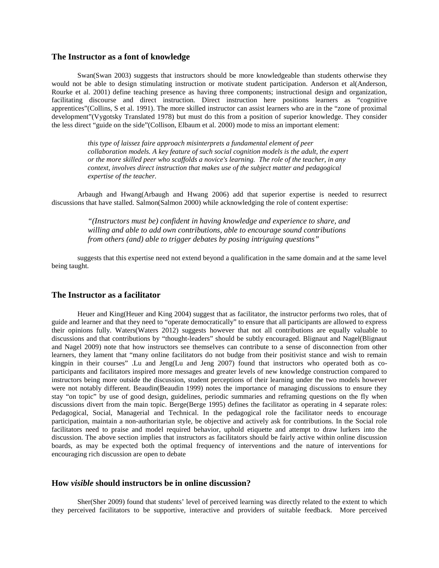#### **The Instructor as a font of knowledge**

Swan[\(Swan 2003\)](#page-9-6) suggests that instructors should be more knowledgeable than students otherwise they would not be able to design stimulating instruction or motivate student participation. Anderson et al[\(Anderson,](#page-7-1)  [Rourke et al. 2001\)](#page-7-1) define teaching presence as having three components; instructional design and organization, facilitating discourse and direct instruction. Direct instruction here positions learners as "cognitive apprentices"[\(Collins, S et al. 1991\)](#page-8-7). The more skilled instructor can assist learners who are in the "zone of proximal development"[\(Vygotsky Translated 1978\)](#page-9-7) but must do this from a position of superior knowledge. They consider the less direct "guide on the side"[\(Collison, Elbaum et al. 2000\)](#page-8-8) mode to miss an important element:

> *this type of laissez faire approach misinterprets a fundamental element of peer collaboration models. A key feature of such social cognition models is the adult, the expert or the more skilled peer who scaffolds a novice's learning. The role of the teacher, in any context, involves direct instruction that makes use of the subject matter and pedagogical expertise of the teacher.*

Arbaugh and Hwang[\(Arbaugh and Hwang 2006\)](#page-7-2) add that superior expertise is needed to resurrect discussions that have stalled. Salmon[\(Salmon 2000\)](#page-9-8) while acknowledging the role of content expertise:

> *"(Instructors must be) confident in having knowledge and experience to share, and willing and able to add own contributions, able to encourage sound contributions from others (and) able to trigger debates by posing intriguing questions"*

suggests that this expertise need not extend beyond a qualification in the same domain and at the same level being taught.

## **The Instructor as a facilitator**

Heuer and King[\(Heuer and King 2004\)](#page-8-9) suggest that as facilitator, the instructor performs two roles, that of guide and learner and that they need to "operate democratically" to ensure that all participants are allowed to express their opinions fully. Waters[\(Waters 2012\)](#page-9-9) suggests however that not all contributions are equally valuable to discussions and that contributions by "thought-leaders" should be subtly encouraged. Blignaut and Nagel[\(Blignaut](#page-8-10)  [and Nagel 2009\)](#page-8-10) note that how instructors see themselves can contribute to a sense of disconnection from other learners, they lament that "many online facilitators do not budge from their positivist stance and wish to remain kingpin in their courses" .Lu and Jeng[\(Lu and Jeng 2007\)](#page-9-10) found that instructors who operated both as coparticipants and facilitators inspired more messages and greater levels of new knowledge construction compared to instructors being more outside the discussion, student perceptions of their learning under the two models however were not notably different. Beaudin[\(Beaudin 1999\)](#page-8-11) notes the importance of managing discussions to ensure they stay "on topic" by use of good design, guidelines, periodic summaries and reframing questions on the fly when discussions divert from the main topic. Berge[\(Berge 1995\)](#page-8-12) defines the facilitator as operating in 4 separate roles: Pedagogical, Social, Managerial and Technical. In the pedagogical role the facilitator needs to encourage participation, maintain a non-authoritarian style, be objective and actively ask for contributions. In the Social role facilitators need to praise and model required behavior, uphold etiquette and attempt to draw lurkers into the discussion. The above section implies that instructors as facilitators should be fairly active within online discussion boards, as may be expected both the optimal frequency of interventions and the nature of interventions for encouraging rich discussion are open to debate

## **How** *visible* **should instructors be in online discussion?**

Sher[\(Sher 2009\)](#page-9-11) found that students' level of perceived learning was directly related to the extent to which they perceived facilitators to be supportive, interactive and providers of suitable feedback. More perceived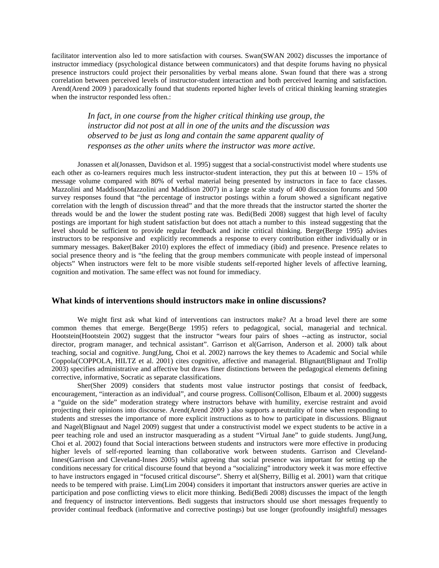facilitator intervention also led to more satisfaction with courses. Swan[\(SWAN 2002\)](#page-9-12) discusses the importance of instructor immediacy (psychological distance between communicators) and that despite forums having no physical presence instructors could project their personalities by verbal means alone. Swan found that there was a strong correlation between perceived levels of instructor-student interaction and both perceived learning and satisfaction. Arend[\(Arend 2009 \)](#page-7-3) paradoxically found that students reported higher levels of critical thinking learning strategies when the instructor responded less often.:

> *In fact, in one course from the higher critical thinking use group, the instructor did not post at all in one of the units and the discussion was observed to be just as long and contain the same apparent quality of responses as the other units where the instructor was more active.*

Jonassen et al[\(Jonassen, Davidson et al. 1995\)](#page-8-13) suggest that a social-constructivist model where students use each other as co-learners requires much less instructor-student interaction, they put this at between 10 – 15% of message volume compared with 80% of verbal material being presented by instructors in face to face classes. Mazzolini and Maddison[\(Mazzolini and Maddison 2007\)](#page-9-13) in a large scale study of 400 discussion forums and 500 survey responses found that "the percentage of instructor postings within a forum showed a significant negative correlation with the length of discussion thread" and that the more threads that the instructor started the shorter the threads would be and the lower the student posting rate was. Bedi[\(Bedi 2008\)](#page-8-14) suggest that high level of faculty postings are important for high student satisfaction but does not attach a number to this instead suggesting that the level should be sufficient to provide regular feedback and incite critical thinking. Berge[\(Berge 1995\)](#page-8-12) advises instructors to be responsive and explicitly recommends a response to every contribution either individually or in summary messages. Baker[\(Baker 2010\)](#page-7-4) explores the effect of immediacy (ibid) and presence. Presence relates to social presence theory and is "the feeling that the group members communicate with people instead of impersonal objects" When instructors were felt to be more visible students self-reported higher levels of affective learning, cognition and motivation. The same effect was not found for immediacy.

#### **What kinds of interventions should instructors make in online discussions?**

We might first ask what kind of interventions can instructors make? At a broad level there are some common themes that emerge. Berge[\(Berge 1995\)](#page-8-12) refers to pedagogical, social, managerial and technical. Hootstein[\(Hootstein 2002\)](#page-8-15) suggest that the instructor "wears four pairs of shoes --acting as instructor, social director, program manager, and technical assistant". Garrison et al[\(Garrison, Anderson et al. 2000\)](#page-8-16) talk about teaching, social and cognitive. Jung[\(Jung, Choi et al. 2002\)](#page-9-14) narrows the key themes to Academic and Social while Coppola[\(COPPOLA, HILTZ et al. 2001\)](#page-8-6) cites cognitive, affective and managerial. Blignaut[\(Blignaut and Trollip](#page-8-17)  [2003\)](#page-8-17) specifies administrative and affective but draws finer distinctions between the pedagogical elements defining corrective, informative, Socratic as separate classifications.

Sher[\(Sher 2009\)](#page-9-11) considers that students most value instructor postings that consist of feedback, encouragement, "interaction as an individual", and course progress. Collison[\(Collison, Elbaum et al. 2000\)](#page-8-8) suggests a "guide on the side" moderation strategy where instructors behave with humility, exercise restraint and avoid projecting their opinions into discourse. Arend[\(Arend 2009 \)](#page-7-3) also supports a neutrality of tone when responding to students and stresses the importance of more explicit instructions as to how to participate in discussions. Blignaut and Nagel[\(Blignaut and Nagel 2009\)](#page-8-10) suggest that under a constructivist model we expect students to be active in a peer teaching role and used an instructor masquerading as a student "Virtual Jane" to guide students. Jung[\(Jung,](#page-9-14)  [Choi et al. 2002\)](#page-9-14) found that Social interactions between students and instructors were more effective in producing higher levels of self-reported learning than collaborative work between students. Garrison and Cleveland-Innes[\(Garrison and Cleveland-Innes 2005\)](#page-8-18) whilst agreeing that social presence was important for setting up the conditions necessary for critical discourse found that beyond a "socializing" introductory week it was more effective to have instructors engaged in "focused critical discourse". Sherry et al[\(Sherry, Billig et al. 2001\)](#page-9-15) warn that critique needs to be tempered with praise. Lim[\(Lim 2004\)](#page-9-16) considers it important that instructors answer queries are active in participation and pose conflicting views to elicit more thinking. Bedi[\(Bedi 2008\)](#page-8-14) discusses the impact of the length and frequency of instructor interventions. Bedi suggests that instructors should use short messages frequently to provider continual feedback (informative and corrective postings) but use longer (profoundly insightful) messages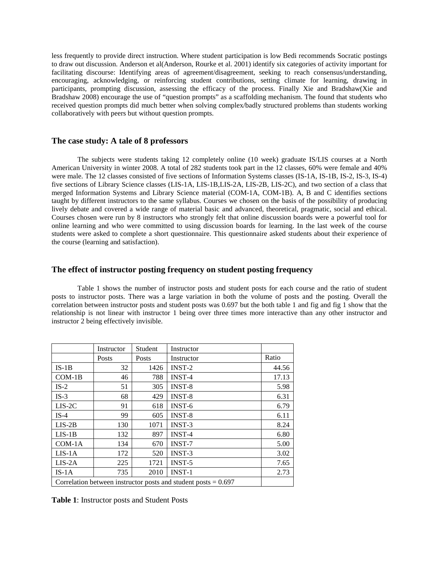less frequently to provide direct instruction. Where student participation is low Bedi recommends Socratic postings to draw out discussion. Anderson et al[\(Anderson, Rourke et al. 2001\)](#page-7-1) identify six categories of activity important for facilitating discourse: Identifying areas of agreement/disagreement, seeking to reach consensus/understanding, encouraging, acknowledging, or reinforcing student contributions, setting climate for learning, drawing in participants, prompting discussion, assessing the efficacy of the process. Finally Xie and Bradshaw[\(Xie and](#page-9-17)  [Bradshaw 2008\)](#page-9-17) encourage the use of "question prompts" as a scaffolding mechanism. The found that students who received question prompts did much better when solving complex/badly structured problems than students working collaboratively with peers but without question prompts.

## **The case study: A tale of 8 professors**

The subjects were students taking 12 completely online (10 week) graduate IS/LIS courses at a North American University in winter 2008. A total of 282 students took part in the 12 classes, 60% were female and 40% were male. The 12 classes consisted of five sections of Information Systems classes (IS-1A, IS-1B, IS-2, IS-3, IS-4) five sections of Library Science classes (LIS-1A, LIS-1B,LIS-2A, LIS-2B, LIS-2C), and two section of a class that merged Information Systems and Library Science material (COM-1A, COM-1B). A, B and C identifies sections taught by different instructors to the same syllabus. Courses we chosen on the basis of the possibility of producing lively debate and covered a wide range of material basic and advanced, theoretical, pragmatic, social and ethical. Courses chosen were run by 8 instructors who strongly felt that online discussion boards were a powerful tool for online learning and who were committed to using discussion boards for learning. In the last week of the course students were asked to complete a short questionnaire. This questionnaire asked students about their experience of the course (learning and satisfaction).

# **The effect of instructor posting frequency on student posting frequency**

Table 1 shows the number of instructor posts and student posts for each course and the ratio of student posts to instructor posts. There was a large variation in both the volume of posts and the posting. Overall the correlation between instructor posts and student posts was 0.697 but the both table 1 and fig and fig 1 show that the relationship is not linear with instructor 1 being over three times more interactive than any other instructor and instructor 2 being effectively invisible.

|                                                                  | Instructor | Student | Instructor    |       |
|------------------------------------------------------------------|------------|---------|---------------|-------|
|                                                                  | Posts      | Posts   | Instructor    | Ratio |
| $IS-1B$                                                          | 32         | 1426    | INST-2        | 44.56 |
| $COM-1B$                                                         | 46         | 788     | <b>INST-4</b> | 17.13 |
| $IS-2$                                                           | 51         | 305     | <b>INST-8</b> | 5.98  |
| $IS-3$                                                           | 68         | 429     | <b>INST-8</b> | 6.31  |
| $LIS-2C$                                                         | 91         | 618     | <b>INST-6</b> | 6.79  |
| $IS-4$                                                           | 99         | 605     | <b>INST-8</b> | 6.11  |
| $LIS-2B$                                                         | 130        | 1071    | <b>INST-3</b> | 8.24  |
| $LIS-1B$                                                         | 132        | 897     | <b>INST-4</b> | 6.80  |
| $COM-1A$                                                         | 134        | 670     | <b>INST-7</b> | 5.00  |
| $LIS-1A$                                                         | 172        | 520     | <b>INST-3</b> | 3.02  |
| $LIS-2A$                                                         | 225        | 1721    | <b>INST-5</b> | 7.65  |
| $IS-1A$                                                          | 735        | 2010    | <b>INST-1</b> | 2.73  |
| Correlation between instructor posts and student posts $= 0.697$ |            |         |               |       |

**Table 1**: Instructor posts and Student Posts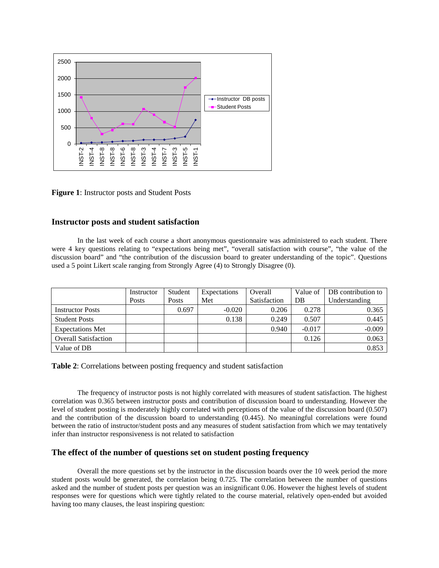

**Figure 1**: Instructor posts and Student Posts

# **Instructor posts and student satisfaction**

In the last week of each course a short anonymous questionnaire was administered to each student. There were 4 key questions relating to "expectations being met", "overall satisfaction with course", "the value of the discussion board" and "the contribution of the discussion board to greater understanding of the topic". Questions used a 5 point Likert scale ranging from Strongly Agree (4) to Strongly Disagree (0).

|                             | Instructor | Student | Expectations | Overall      | Value of | DB contribution to |
|-----------------------------|------------|---------|--------------|--------------|----------|--------------------|
|                             | Posts      | Posts   | Met          | Satisfaction | DB       | Understanding      |
| <b>Instructor Posts</b>     |            | 0.697   | $-0.020$     | 0.206        | 0.278    | 0.365              |
| <b>Student Posts</b>        |            |         | 0.138        | 0.249        | 0.507    | 0.445              |
| <b>Expectations Met</b>     |            |         |              | 0.940        | $-0.017$ | $-0.009$           |
| <b>Overall Satisfaction</b> |            |         |              |              | 0.126    | 0.063              |
| Value of DB                 |            |         |              |              |          | 0.853              |

**Table 2**: Correlations between posting frequency and student satisfaction

The frequency of instructor posts is not highly correlated with measures of student satisfaction. The highest correlation was 0.365 between instructor posts and contribution of discussion board to understanding. However the level of student posting is moderately highly correlated with perceptions of the value of the discussion board (0.507) and the contribution of the discussion board to understanding (0.445). No meaningful correlations were found between the ratio of instructor/student posts and any measures of student satisfaction from which we may tentatively infer than instructor responsiveness is not related to satisfaction

## **The effect of the number of questions set on student posting frequency**

Overall the more questions set by the instructor in the discussion boards over the 10 week period the more student posts would be generated, the correlation being 0.725. The correlation between the number of questions asked and the number of student posts per question was an insignificant 0.06. However the highest levels of student responses were for questions which were tightly related to the course material, relatively open-ended but avoided having too many clauses, the least inspiring question: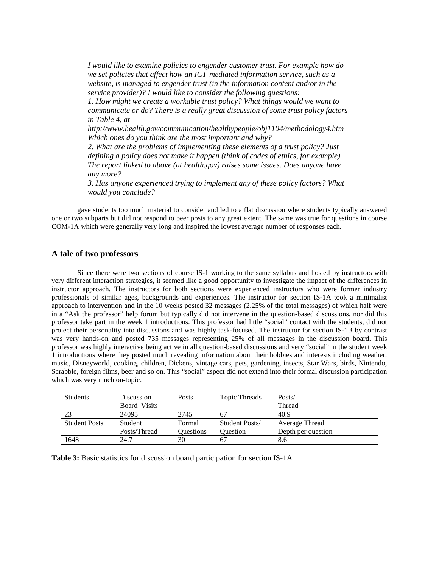*I would like to examine policies to engender customer trust. For example how do we set policies that affect how an ICT-mediated information service, such as a website, is managed to engender trust (in the information content and/or in the service provider)? I would like to consider the following questions: 1. How might we create a workable trust policy? What things would we want to communicate or do? There is a really great discussion of some trust policy factors in Table 4, at http://www.health.gov/communication/healthypeople/obj1104/methodology4.htm Which ones do you think are the most important and why? 2. What are the problems of implementing these elements of a trust policy? Just defining a policy does not make it happen (think of codes of ethics, for example). The report linked to above (at health.gov) raises some issues. Does anyone have any more? 3. Has anyone experienced trying to implement any of these policy factors? What would you conclude?*

gave students too much material to consider and led to a flat discussion where students typically answered one or two subparts but did not respond to peer posts to any great extent. The same was true for questions in course COM-1A which were generally very long and inspired the lowest average number of responses each.

#### **A tale of two professors**

Since there were two sections of course IS-1 working to the same syllabus and hosted by instructors with very different interaction strategies, it seemed like a good opportunity to investigate the impact of the differences in instructor approach. The instructors for both sections were experienced instructors who were former industry professionals of similar ages, backgrounds and experiences. The instructor for section IS-1A took a minimalist approach to intervention and in the 10 weeks posted 32 messages (2.25% of the total messages) of which half were in a "Ask the professor" help forum but typically did not intervene in the question-based discussions, nor did this professor take part in the week 1 introductions. This professor had little "social" contact with the students, did not project their personality into discussions and was highly task-focused. The instructor for section IS-1B by contrast was very hands-on and posted 735 messages representing 25% of all messages in the discussion board. This professor was highly interactive being active in all question-based discussions and very "social" in the student week 1 introductions where they posted much revealing information about their hobbies and interests including weather, music, Disneyworld, cooking, children, Dickens, vintage cars, pets, gardening, insects, Star Wars, birds, Nintendo, Scrabble, foreign films, beer and so on. This "social" aspect did not extend into their formal discussion participation which was very much on-topic.

| Students             | Discussion   | Posts            | Topic Threads   | Posts/             |
|----------------------|--------------|------------------|-----------------|--------------------|
|                      | Board Visits |                  |                 | Thread             |
| 23                   | 24095        | 2745             | 67              | 40.9               |
| <b>Student Posts</b> | Student      | Formal           | Student Posts/  | Average Thread     |
|                      | Posts/Thread | <b>Ouestions</b> | <b>Ouestion</b> | Depth per question |
| 1648                 | 24.7         | 30               | 67              | 8.6                |

**Table 3:** Basic statistics for discussion board participation for section IS-1A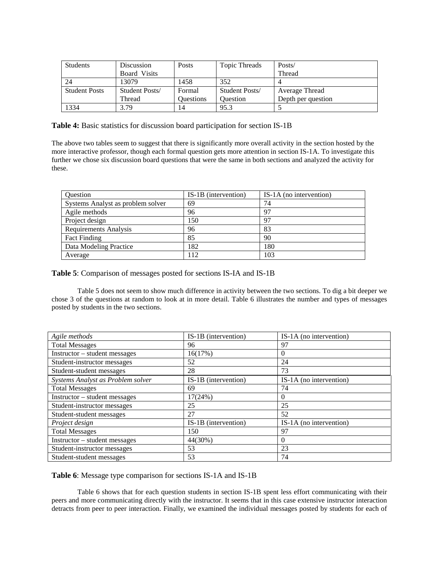| Students             | Discussion     | Posts            | Topic Threads   | Posts/             |
|----------------------|----------------|------------------|-----------------|--------------------|
|                      | Board Visits   |                  |                 | Thread             |
| 24                   | 13079          | 1458             | 352             |                    |
| <b>Student Posts</b> | Student Posts/ | Formal           | Student Posts/  | Average Thread     |
|                      | Thread         | <b>Ouestions</b> | <b>Ouestion</b> | Depth per question |
| 1334                 | 3.79           | 14               | 95.3            |                    |

**Table 4:** Basic statistics for discussion board participation for section IS-1B

The above two tables seem to suggest that there is significantly more overall activity in the section hosted by the more interactive professor, though each formal question gets more attention in section IS-1A. To investigate this further we chose six discussion board questions that were the same in both sections and analyzed the activity for these.

| Question                          | IS-1B (intervention) | IS-1A (no intervention) |
|-----------------------------------|----------------------|-------------------------|
| Systems Analyst as problem solver | 69                   | 74                      |
| Agile methods                     | 96                   | 97                      |
| Project design                    | 150                  | 97                      |
| <b>Requirements Analysis</b>      | 96                   | 83                      |
| <b>Fact Finding</b>               | 85                   | 90                      |
| Data Modeling Practice            | 182                  | 180                     |
| Average                           | 12                   | 103                     |

**Table 5**: Comparison of messages posted for sections IS-IA and IS-1B

Table 5 does not seem to show much difference in activity between the two sections. To dig a bit deeper we chose 3 of the questions at random to look at in more detail. Table 6 illustrates the number and types of messages posted by students in the two sections.

| Agile methods                     | IS-1B (intervention) | IS-1A (no intervention) |
|-----------------------------------|----------------------|-------------------------|
| <b>Total Messages</b>             | 96                   | 97                      |
| Instructor - student messages     | 16(17%)              | $\Omega$                |
| Student-instructor messages       | 52                   | 24                      |
| Student-student messages          | 28                   | 73                      |
| Systems Analyst as Problem solver | IS-1B (intervention) | IS-1A (no intervention) |
| <b>Total Messages</b>             | 69                   | 74                      |
| Instructor - student messages     | 17(24%)              | $\overline{0}$          |
| Student-instructor messages       | 25                   | 25                      |
| Student-student messages          | 27                   | 52                      |
| Project design                    | IS-1B (intervention) | IS-1A (no intervention) |
| <b>Total Messages</b>             | 150                  | 97                      |
| Instructor – student messages     | 44(30%)              | $\Omega$                |
| Student-instructor messages       | 53                   | 23                      |
| Student-student messages          | 53                   | 74                      |

**Table 6**: Message type comparison for sections IS-1A and IS-1B

Table 6 shows that for each question students in section IS-1B spent less effort communicating with their peers and more communicating directly with the instructor. It seems that in this case extensive instructor interaction detracts from peer to peer interaction. Finally, we examined the individual messages posted by students for each of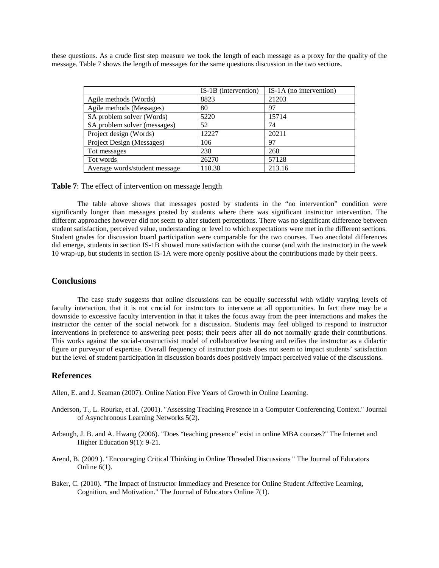these questions. As a crude first step measure we took the length of each message as a proxy for the quality of the message. Table 7 shows the length of messages for the same questions discussion in the two sections.

|                               | IS-1B (intervention) | IS-1A (no intervention) |
|-------------------------------|----------------------|-------------------------|
| Agile methods (Words)         | 8823                 | 21203                   |
| Agile methods (Messages)      | 80                   | 97                      |
| SA problem solver (Words)     | 5220                 | 15714                   |
| SA problem solver (messages)  | 52                   | 74                      |
| Project design (Words)        | 12227                | 20211                   |
| Project Design (Messages)     | 106                  | 97                      |
| Tot messages                  | 238                  | 268                     |
| Tot words                     | 26270                | 57128                   |
| Average words/student message | 110.38               | 213.16                  |

**Table 7**: The effect of intervention on message length

The table above shows that messages posted by students in the "no intervention" condition were significantly longer than messages posted by students where there was significant instructor intervention. The different approaches however did not seem to alter student perceptions. There was no significant difference between student satisfaction, perceived value, understanding or level to which expectations were met in the different sections. Student grades for discussion board participation were comparable for the two courses. Two anecdotal differences did emerge, students in section IS-1B showed more satisfaction with the course (and with the instructor) in the week 10 wrap-up, but students in section IS-1A were more openly positive about the contributions made by their peers.

## **Conclusions**

The case study suggests that online discussions can be equally successful with wildly varying levels of faculty interaction, that it is not crucial for instructors to intervene at all opportunities. In fact there may be a downside to excessive faculty intervention in that it takes the focus away from the peer interactions and makes the instructor the center of the social network for a discussion. Students may feel obliged to respond to instructor interventions in preference to answering peer posts; their peers after all do not normally grade their contributions. This works against the social-constructivist model of collaborative learning and reifies the instructor as a didactic figure or purveyor of expertise. Overall frequency of instructor posts does not seem to impact students' satisfaction but the level of student participation in discussion boards does positively impact perceived value of the discussions.

# **References**

<span id="page-7-0"></span>Allen, E. and J. Seaman (2007). Online Nation Five Years of Growth in Online Learning.

- <span id="page-7-1"></span>Anderson, T., L. Rourke, et al. (2001). "Assessing Teaching Presence in a Computer Conferencing Context." Journal of Asynchronous Learning Networks 5(2).
- <span id="page-7-2"></span>Arbaugh, J. B. and A. Hwang (2006). "Does "teaching presence" exist in online MBA courses?" The Internet and Higher Education 9(1): 9-21.
- <span id="page-7-3"></span>Arend, B. (2009 ). "Encouraging Critical Thinking in Online Threaded Discussions " The Journal of Educators Online  $6(1)$ .
- <span id="page-7-4"></span>Baker, C. (2010). "The Impact of Instructor Immediacy and Presence for Online Student Affective Learning, Cognition, and Motivation." The Journal of Educators Online 7(1).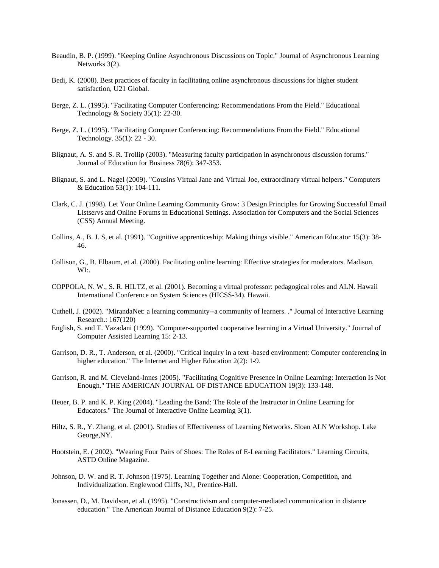- <span id="page-8-11"></span>Beaudin, B. P. (1999). "Keeping Online Asynchronous Discussions on Topic." Journal of Asynchronous Learning Networks 3(2).
- <span id="page-8-14"></span>Bedi, K. (2008). Best practices of faculty in facilitating online asynchronous discussions for higher student satisfaction, U21 Global.
- <span id="page-8-12"></span>Berge, Z. L. (1995). "Facilitating Computer Conferencing: Recommendations From the Field." Educational Technology & Society 35(1): 22-30.
- <span id="page-8-4"></span>Berge, Z. L. (1995). "Facilitating Computer Conferencing: Recommendations From the Field." Educational Technology. 35(1): 22 - 30.
- <span id="page-8-17"></span>Blignaut, A. S. and S. R. Trollip (2003). "Measuring faculty participation in asynchronous discussion forums." Journal of Education for Business 78(6): 347-353.
- <span id="page-8-10"></span>Blignaut, S. and L. Nagel (2009). "Cousins Virtual Jane and Virtual Joe, extraordinary virtual helpers." Computers & Education 53(1): 104-111.
- <span id="page-8-2"></span>Clark, C. J. (1998). Let Your Online Learning Community Grow: 3 Design Principles for Growing Successful Email Listservs and Online Forums in Educational Settings. Association for Computers and the Social Sciences (CSS) Annual Meeting.
- <span id="page-8-7"></span>Collins, A., B. J. S, et al. (1991). "Cognitive apprenticeship: Making things visible." American Educator 15(3): 38- 46.
- <span id="page-8-8"></span>Collison, G., B. Elbaum, et al. (2000). Facilitating online learning: Effective strategies for moderators. Madison, WI:.
- <span id="page-8-6"></span>COPPOLA, N. W., S. R. HILTZ, et al. (2001). Becoming a virtual professor: pedagogical roles and ALN. Hawaii International Conference on System Sciences (HICSS-34). Hawaii.
- <span id="page-8-3"></span>Cuthell, J. (2002). "MirandaNet: a learning community--a community of learners. ." Journal of Interactive Learning Research.: 167(120)
- <span id="page-8-1"></span>English, S. and T. Yazadani (1999). "Computer-supported cooperative learning in a Virtual University." Journal of Computer Assisted Learning 15: 2-13.
- <span id="page-8-16"></span>Garrison, D. R., T. Anderson, et al. (2000). "Critical inquiry in a text -based environment: Computer conferencing in higher education." The Internet and Higher Education 2(2): 1-9.
- <span id="page-8-18"></span>Garrison, R. and M. Cleveland-Innes (2005). "Facilitating Cognitive Presence in Online Learning: Interaction Is Not Enough." THE AMERICAN JOURNAL OF DISTANCE EDUCATION 19(3): 133-148.
- <span id="page-8-9"></span>Heuer, B. P. and K. P. King (2004). "Leading the Band: The Role of the Instructor in Online Learning for Educators." The Journal of Interactive Online Learning 3(1).
- <span id="page-8-0"></span>Hiltz, S. R., Y. Zhang, et al. (2001). Studies of Effectiveness of Learning Networks. Sloan ALN Workshop. Lake George,NY.
- <span id="page-8-15"></span>Hootstein, E. ( 2002). "Wearing Four Pairs of Shoes: The Roles of E-Learning Facilitators." Learning Circuits, ASTD Online Magazine.
- <span id="page-8-5"></span>Johnson, D. W. and R. T. Johnson (1975). Learning Together and Alone: Cooperation, Competition, and Individualization. Englewood Cliffs, NJ,, Prentice-Hall.
- <span id="page-8-13"></span>Jonassen, D., M. Davidson, et al. (1995). "Constructivism and computer-mediated communication in distance education." The American Journal of Distance Education 9(2): 7-25.